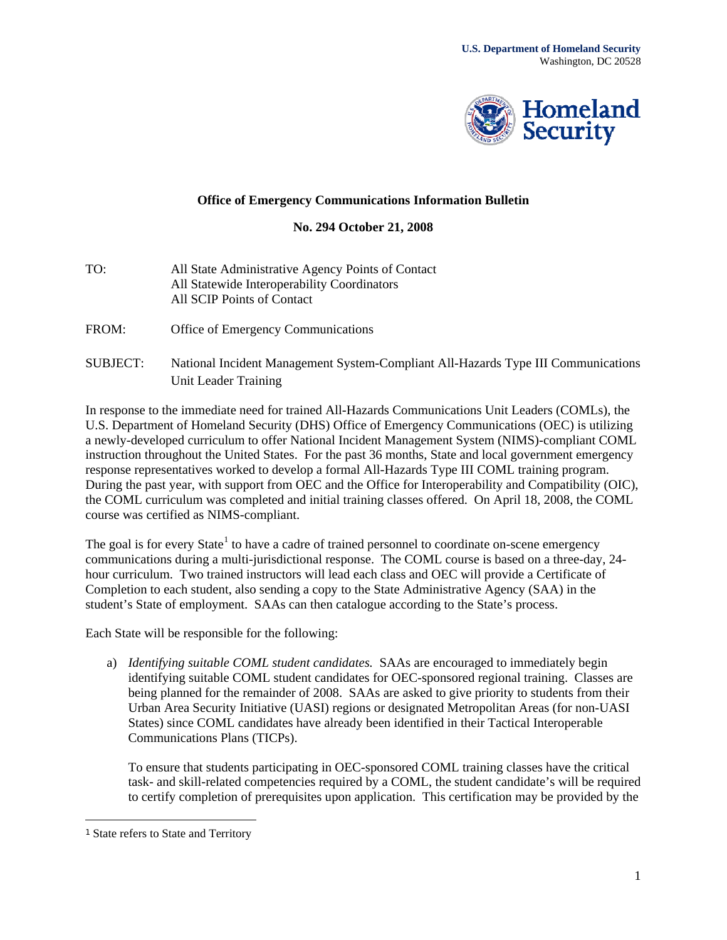

## **Office of Emergency Communications Information Bulletin**

## **No. 294 October 21, 2008**

- TO: All State Administrative Agency Points of Contact All Statewide Interoperability Coordinators All SCIP Points of Contact
- FROM: Office of Emergency Communications
- SUBJECT: National Incident Management System-Compliant All-Hazards Type III Communications Unit Leader Training

In response to the immediate need for trained All-Hazards Communications Unit Leaders (COMLs), the U.S. Department of Homeland Security (DHS) Office of Emergency Communications (OEC) is utilizing a newly-developed curriculum to offer National Incident Management System (NIMS)-compliant COML instruction throughout the United States. For the past 36 months, State and local government emergency response representatives worked to develop a formal All-Hazards Type III COML training program. During the past year, with support from OEC and the Office for Interoperability and Compatibility (OIC), the COML curriculum was completed and initial training classes offered. On April 18, 2008, the COML course was certified as NIMS-compliant.

The goal is for every State<sup>[1](#page-0-0)</sup> to have a cadre of trained personnel to coordinate on-scene emergency communications during a multi-jurisdictional response. The COML course is based on a three-day, 24 hour curriculum. Two trained instructors will lead each class and OEC will provide a Certificate of Completion to each student, also sending a copy to the State Administrative Agency (SAA) in the student's State of employment. SAAs can then catalogue according to the State's process.

Each State will be responsible for the following:

a) *Identifying suitable COML student candidates.* SAAs are encouraged to immediately begin identifying suitable COML student candidates for OEC-sponsored regional training. Classes are being planned for the remainder of 2008. SAAs are asked to give priority to students from their Urban Area Security Initiative (UASI) regions or designated Metropolitan Areas (for non-UASI States) since COML candidates have already been identified in their Tactical Interoperable Communications Plans (TICPs).

To ensure that students participating in OEC-sponsored COML training classes have the critical task- and skill-related competencies required by a COML, the student candidate's will be required to certify completion of prerequisites upon application. This certification may be provided by the

<span id="page-0-0"></span><sup>1</sup> State refers to State and Territory